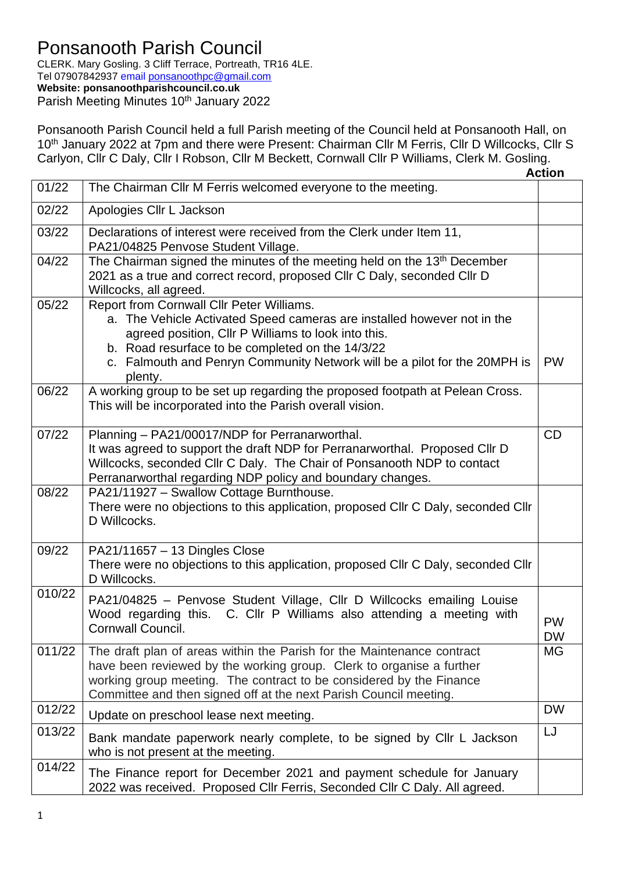## Ponsanooth Parish Council

CLERK. Mary Gosling. 3 Cliff Terrace, Portreath, TR16 4LE. Tel 07907842937 email [ponsanoothpc@gmail.com](mailto:ponsanoothpc@gmail.com)

**Website: ponsanoothparishcouncil.co.uk**

Parish Meeting Minutes 10<sup>th</sup> January 2022

Ponsanooth Parish Council held a full Parish meeting of the Council held at Ponsanooth Hall, on 10<sup>th</sup> January 2022 at 7pm and there were Present: Chairman Cllr M Ferris, Cllr D Willcocks, Cllr S Carlyon, Cllr C Daly, Cllr I Robson, Cllr M Beckett, Cornwall Cllr P Williams, Clerk M. Gosling.

|                     |                                                                                                                                                                                                                                                                                                                         | <b>Action</b>          |
|---------------------|-------------------------------------------------------------------------------------------------------------------------------------------------------------------------------------------------------------------------------------------------------------------------------------------------------------------------|------------------------|
| 01/22               | The Chairman Cllr M Ferris welcomed everyone to the meeting.                                                                                                                                                                                                                                                            |                        |
| 02/22               | Apologies Cllr L Jackson                                                                                                                                                                                                                                                                                                |                        |
| 03/22               | Declarations of interest were received from the Clerk under Item 11,<br>PA21/04825 Penvose Student Village.                                                                                                                                                                                                             |                        |
| 04/22               | The Chairman signed the minutes of the meeting held on the 13 <sup>th</sup> December<br>2021 as a true and correct record, proposed Cllr C Daly, seconded Cllr D<br>Willcocks, all agreed.                                                                                                                              |                        |
| 05/22               | Report from Cornwall Cllr Peter Williams.<br>a. The Vehicle Activated Speed cameras are installed however not in the<br>agreed position, Cllr P Williams to look into this.<br>b. Road resurface to be completed on the 14/3/22<br>c. Falmouth and Penryn Community Network will be a pilot for the 20MPH is<br>plenty. | <b>PW</b>              |
| 06/22               | A working group to be set up regarding the proposed footpath at Pelean Cross.<br>This will be incorporated into the Parish overall vision.                                                                                                                                                                              |                        |
| 07/22               | Planning - PA21/00017/NDP for Perranarworthal.<br>It was agreed to support the draft NDP for Perranarworthal. Proposed Cllr D<br>Willcocks, seconded Cllr C Daly. The Chair of Ponsanooth NDP to contact<br>Perranarworthal regarding NDP policy and boundary changes.                                                  | <b>CD</b>              |
| 08/22               | PA21/11927 - Swallow Cottage Burnthouse.<br>There were no objections to this application, proposed Cllr C Daly, seconded Cllr<br>D Willcocks.                                                                                                                                                                           |                        |
| 09/22               | PA21/11657 - 13 Dingles Close<br>There were no objections to this application, proposed CIIr C Daly, seconded CIIr<br>D Willcocks.                                                                                                                                                                                      |                        |
| 010/22              | PA21/04825 - Penvose Student Village, Cllr D Willcocks emailing Louise<br>Wood regarding this. C. Cllr P Williams also attending a meeting with<br>Cornwall Council.                                                                                                                                                    | <b>PW</b><br><b>DW</b> |
| $\overline{011}/22$ | The draft plan of areas within the Parish for the Maintenance contract<br>have been reviewed by the working group. Clerk to organise a further<br>working group meeting. The contract to be considered by the Finance<br>Committee and then signed off at the next Parish Council meeting.                              | <b>MG</b>              |
| 012/22              | Update on preschool lease next meeting.                                                                                                                                                                                                                                                                                 | <b>DW</b>              |
| 013/22              | Bank mandate paperwork nearly complete, to be signed by Cllr L Jackson<br>who is not present at the meeting.                                                                                                                                                                                                            | LJ                     |
| 014/22              | The Finance report for December 2021 and payment schedule for January<br>2022 was received. Proposed Cllr Ferris, Seconded Cllr C Daly. All agreed.                                                                                                                                                                     |                        |